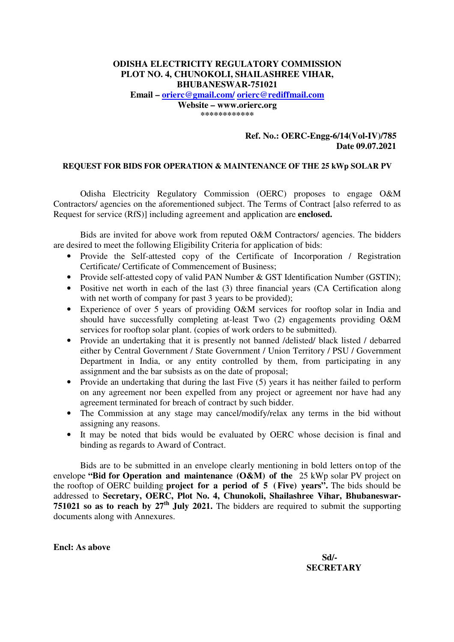## **ODISHA ELECTRICITY REGULATORY COMMISSION PLOT NO. 4, CHUNOKOLI, SHAILASHREE VIHAR, BHUBANESWAR-751021**

**Email – orierc@gmail.com/ orierc@rediffmail.com Website – www.orierc.org \*\*\*\*\*\*\*\*\*\*\*\*** 

### **Ref. No.: OERC-Engg-6/14(Vol-IV)/785 Date 09.07.2021**

#### **REQUEST FOR BIDS FOR OPERATION & MAINTENANCE OF THE 25 kWp SOLAR PV**

 Odisha Electricity Regulatory Commission (OERC) proposes to engage O&M Contractors/ agencies on the aforementioned subject. The Terms of Contract [also referred to as Request for service (RfS)] including agreement and application are **enclosed.**

 Bids are invited for above work from reputed O&M Contractors/ agencies. The bidders are desired to meet the following Eligibility Criteria for application of bids:

- Provide the Self-attested copy of the Certificate of Incorporation / Registration Certificate/ Certificate of Commencement of Business;
- Provide self-attested copy of valid PAN Number & GST Identification Number (GSTIN);
- Positive net worth in each of the last (3) three financial years (CA Certification along with net worth of company for past 3 years to be provided);
- Experience of over 5 years of providing O&M services for rooftop solar in India and should have successfully completing at-least Two (2) engagements providing O&M services for rooftop solar plant. (copies of work orders to be submitted).
- Provide an undertaking that it is presently not banned /delisted/ black listed / debarred either by Central Government / State Government / Union Territory / PSU / Government Department in India, or any entity controlled by them, from participating in any assignment and the bar subsists as on the date of proposal;
- Provide an undertaking that during the last Five (5) years it has neither failed to perform on any agreement nor been expelled from any project or agreement nor have had any agreement terminated for breach of contract by such bidder.
- The Commission at any stage may cancel/modify/relax any terms in the bid without assigning any reasons.
- It may be noted that bids would be evaluated by OERC whose decision is final and binding as regards to Award of Contract.

 Bids are to be submitted in an envelope clearly mentioning in bold letters on top of the envelope **"Bid for Operation and maintenance (O&M) of the** 25 kWp solar PV project on the rooftop of OERC building **project for a period of 5 ( Five) years".** The bids should be addressed to **Secretary, OERC, Plot No. 4, Chunokoli, Shailashree Vihar, Bhubaneswar-751021 so as to reach by 27th July 2021.** The bidders are required to submit the supporting documents along with Annexures.

**Encl: As above** 

 **Sd/- SECRETARY**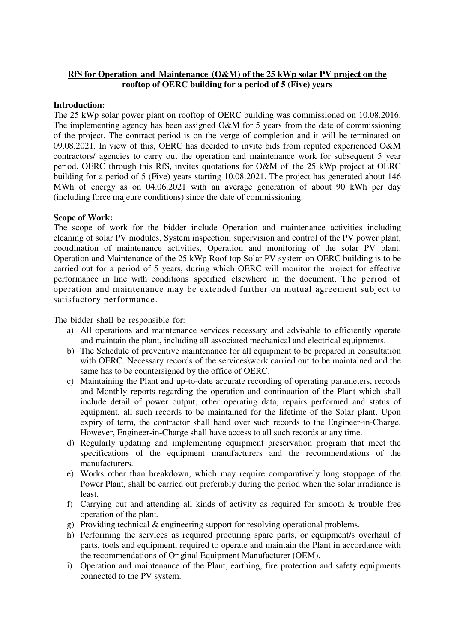## **RfS for Operation and Maintenance (O&M) of the 25 kWp solar PV project on the rooftop of OERC building for a period of 5 (Five) years**

### **Introduction:**

The 25 kWp solar power plant on rooftop of OERC building was commissioned on 10.08.2016. The implementing agency has been assigned O&M for 5 years from the date of commissioning of the project. The contract period is on the verge of completion and it will be terminated on 09.08.2021. In view of this, OERC has decided to invite bids from reputed experienced O&M contractors/ agencies to carry out the operation and maintenance work for subsequent 5 year period. OERC through this RfS, invites quotations for O&M of the 25 kWp project at OERC building for a period of 5 (Five) years starting 10.08.2021. The project has generated about 146 MWh of energy as on 04.06.2021 with an average generation of about 90 kWh per day (including force majeure conditions) since the date of commissioning.

### **Scope of Work:**

The scope of work for the bidder include Operation and maintenance activities including cleaning of solar PV modules, System inspection, supervision and control of the PV power plant, coordination of maintenance activities, Operation and monitoring of the solar PV plant. Operation and Maintenance of the 25 kWp Roof top Solar PV system on OERC building is to be carried out for a period of 5 years, during which OERC will monitor the project for effective performance in line with conditions specified elsewhere in the document. The period of operation and maintenance may be extended further on mutual agreement subject to satisfactory performance.

The bidder shall be responsible for:

- a) All operations and maintenance services necessary and advisable to efficiently operate and maintain the plant, including all associated mechanical and electrical equipments.
- b) The Schedule of preventive maintenance for all equipment to be prepared in consultation with OERC. Necessary records of the services\work carried out to be maintained and the same has to be countersigned by the office of OERC.
- c) Maintaining the Plant and up-to-date accurate recording of operating parameters, records and Monthly reports regarding the operation and continuation of the Plant which shall include detail of power output, other operating data, repairs performed and status of equipment, all such records to be maintained for the lifetime of the Solar plant. Upon expiry of term, the contractor shall hand over such records to the Engineer-in-Charge. However, Engineer-in-Charge shall have access to all such records at any time.
- d) Regularly updating and implementing equipment preservation program that meet the specifications of the equipment manufacturers and the recommendations of the manufacturers.
- e) Works other than breakdown, which may require comparatively long stoppage of the Power Plant, shall be carried out preferably during the period when the solar irradiance is least.
- f) Carrying out and attending all kinds of activity as required for smooth & trouble free operation of the plant.
- g) Providing technical & engineering support for resolving operational problems.
- h) Performing the services as required procuring spare parts, or equipment/s overhaul of parts, tools and equipment, required to operate and maintain the Plant in accordance with the recommendations of Original Equipment Manufacturer (OEM).
- i) Operation and maintenance of the Plant, earthing, fire protection and safety equipments connected to the PV system.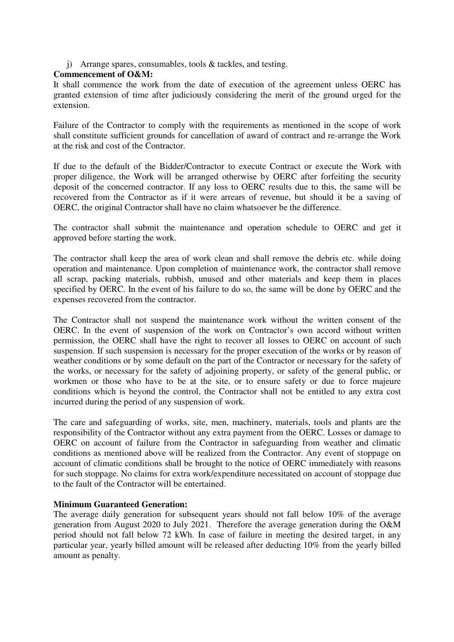j) Arrange spares, consumables, tools & tackles, and testing.

## **Commencement of O&M:**

It shall commence the work from the date of execution of the agreement unless OERC has granted extension of time after judiciously considering the merit of the ground urged for the extension.

Failure of the Contractor to comply with the requirements as mentioned in the scope of work shall constitute sufficient grounds for cancellation of award of contract and re-arrange the Work at the risk and cost of the Contractor.

If due to the default of the Bidder/Contractor to execute Contract or execute the Work with proper diligence, the Work will be arranged otherwise by OERC after forfeiting the security deposit of the concerned contractor. If any loss to OERC results due to this, the same will be recovered from the Contractor as if it were arrears of revenue, but should it be a saving of OERC, the original Contractor shall have no claim whatsoever be the difference.

The contractor shall submit the maintenance and operation schedule to OERC and get it approved before starting the work.

The contractor shall keep the area of work clean and shall remove the debris etc. while doing operation and maintenance. Upon completion of maintenance work, the contractor shall remove all scrap, packing materials, rubbish, unused and other materials and keep them in places specified by OERC. In the event of his failure to do so, the same will be done by OERC and the expenses recovered from the contractor.

The Contractor shall not suspend the maintenance work without the written consent of the OERC. In the event of suspension of the work on Contractor's own accord without written permission, the OERC shall have the right to recover all losses to OERC on account of such suspension. If such suspension is necessary for the proper execution of the works or by reason of weather conditions or by some default on the part of the Contractor or necessary for the safety of the works, or necessary for the safety of adjoining property, or safety of the general public, or workmen or those who have to be at the site, or to ensure safety or due to force majeure conditions which is beyond the control, the Contractor shall not be entitled to any extra cost incurred during the period of any suspension of work.

The care and safeguarding of works, site, men, machinery, materials, tools and plants are the responsibility of the Contractor without any extra payment from the OERC. Losses or damage to OERC on account of failure from the Contractor in safeguarding from weather and climatic conditions as mentioned above will be realized from the Contractor. Any event of stoppage on account of climatic conditions shall be brought to the notice of OERC immediately with reasons for such stoppage. No claims for extra work/expenditure necessitated on account of stoppage due to the fault of the Contractor will be entertained.

## **Minimum Guaranteed Generation:**

The average daily generation for subsequent years should not fall below 10% of the average generation from August 2020 to July 2021. Therefore the average generation during the O&M period should not fall below 72 kWh. In case of failure in meeting the desired target, in any particular year, yearly billed amount will be released after deducting 10% from the yearly billed amount as penalty.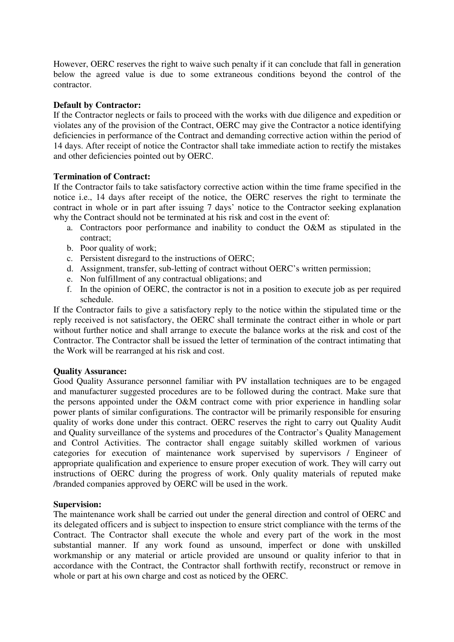However, OERC reserves the right to waive such penalty if it can conclude that fall in generation below the agreed value is due to some extraneous conditions beyond the control of the contractor.

## **Default by Contractor:**

If the Contractor neglects or fails to proceed with the works with due diligence and expedition or violates any of the provision of the Contract, OERC may give the Contractor a notice identifying deficiencies in performance of the Contract and demanding corrective action within the period of 14 days. After receipt of notice the Contractor shall take immediate action to rectify the mistakes and other deficiencies pointed out by OERC.

### **Termination of Contract:**

If the Contractor fails to take satisfactory corrective action within the time frame specified in the notice i.e., 14 days after receipt of the notice, the OERC reserves the right to terminate the contract in whole or in part after issuing 7 days' notice to the Contractor seeking explanation why the Contract should not be terminated at his risk and cost in the event of:

- a. Contractors poor performance and inability to conduct the O&M as stipulated in the contract;
- b. Poor quality of work;
- c. Persistent disregard to the instructions of OERC;
- d. Assignment, transfer, sub-letting of contract without OERC's written permission;
- e. Non fulfillment of any contractual obligations; and
- f. In the opinion of OERC, the contractor is not in a position to execute job as per required schedule.

If the Contractor fails to give a satisfactory reply to the notice within the stipulated time or the reply received is not satisfactory, the OERC shall terminate the contract either in whole or part without further notice and shall arrange to execute the balance works at the risk and cost of the Contractor. The Contractor shall be issued the letter of termination of the contract intimating that the Work will be rearranged at his risk and cost.

## **Quality Assurance:**

Good Quality Assurance personnel familiar with PV installation techniques are to be engaged and manufacturer suggested procedures are to be followed during the contract. Make sure that the persons appointed under the O&M contract come with prior experience in handling solar power plants of similar configurations. The contractor will be primarily responsible for ensuring quality of works done under this contract. OERC reserves the right to carry out Quality Audit and Quality surveillance of the systems and procedures of the Contractor's Quality Management and Control Activities. The contractor shall engage suitably skilled workmen of various categories for execution of maintenance work supervised by supervisors / Engineer of appropriate qualification and experience to ensure proper execution of work. They will carry out instructions of OERC during the progress of work. Only quality materials of reputed make /branded companies approved by OERC will be used in the work.

## **Supervision:**

The maintenance work shall be carried out under the general direction and control of OERC and its delegated officers and is subject to inspection to ensure strict compliance with the terms of the Contract. The Contractor shall execute the whole and every part of the work in the most substantial manner. If any work found as unsound, imperfect or done with unskilled workmanship or any material or article provided are unsound or quality inferior to that in accordance with the Contract, the Contractor shall forthwith rectify, reconstruct or remove in whole or part at his own charge and cost as noticed by the OERC.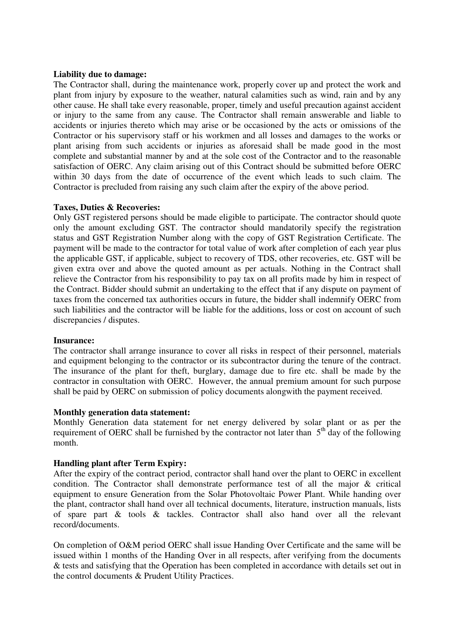### **Liability due to damage:**

The Contractor shall, during the maintenance work, properly cover up and protect the work and plant from injury by exposure to the weather, natural calamities such as wind, rain and by any other cause. He shall take every reasonable, proper, timely and useful precaution against accident or injury to the same from any cause. The Contractor shall remain answerable and liable to accidents or injuries thereto which may arise or be occasioned by the acts or omissions of the Contractor or his supervisory staff or his workmen and all losses and damages to the works or plant arising from such accidents or injuries as aforesaid shall be made good in the most complete and substantial manner by and at the sole cost of the Contractor and to the reasonable satisfaction of OERC. Any claim arising out of this Contract should be submitted before OERC within 30 days from the date of occurrence of the event which leads to such claim. The Contractor is precluded from raising any such claim after the expiry of the above period.

### **Taxes, Duties & Recoveries:**

Only GST registered persons should be made eligible to participate. The contractor should quote only the amount excluding GST. The contractor should mandatorily specify the registration status and GST Registration Number along with the copy of GST Registration Certificate. The payment will be made to the contractor for total value of work after completion of each year plus the applicable GST, if applicable, subject to recovery of TDS, other recoveries, etc. GST will be given extra over and above the quoted amount as per actuals. Nothing in the Contract shall relieve the Contractor from his responsibility to pay tax on all profits made by him in respect of the Contract. Bidder should submit an undertaking to the effect that if any dispute on payment of taxes from the concerned tax authorities occurs in future, the bidder shall indemnify OERC from such liabilities and the contractor will be liable for the additions, loss or cost on account of such discrepancies / disputes.

#### **Insurance:**

The contractor shall arrange insurance to cover all risks in respect of their personnel, materials and equipment belonging to the contractor or its subcontractor during the tenure of the contract. The insurance of the plant for theft, burglary, damage due to fire etc. shall be made by the contractor in consultation with OERC. However, the annual premium amount for such purpose shall be paid by OERC on submission of policy documents alongwith the payment received.

#### **Monthly generation data statement:**

Monthly Generation data statement for net energy delivered by solar plant or as per the requirement of OERC shall be furnished by the contractor not later than  $5<sup>th</sup>$  day of the following month.

## **Handling plant after Term Expiry:**

After the expiry of the contract period, contractor shall hand over the plant to OERC in excellent condition. The Contractor shall demonstrate performance test of all the major & critical equipment to ensure Generation from the Solar Photovoltaic Power Plant. While handing over the plant, contractor shall hand over all technical documents, literature, instruction manuals, lists of spare part & tools & tackles. Contractor shall also hand over all the relevant record/documents.

On completion of O&M period OERC shall issue Handing Over Certificate and the same will be issued within 1 months of the Handing Over in all respects, after verifying from the documents & tests and satisfying that the Operation has been completed in accordance with details set out in the control documents & Prudent Utility Practices.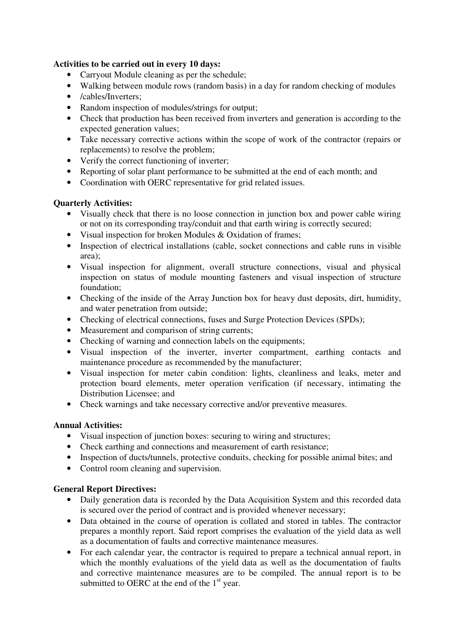## **Activities to be carried out in every 10 days:**

- Carryout Module cleaning as per the schedule;
- Walking between module rows (random basis) in a day for random checking of modules
- /cables/Inverters;
- Random inspection of modules/strings for output;
- Check that production has been received from inverters and generation is according to the expected generation values;
- Take necessary corrective actions within the scope of work of the contractor (repairs or replacements) to resolve the problem;
- Verify the correct functioning of inverter;
- Reporting of solar plant performance to be submitted at the end of each month; and
- Coordination with OERC representative for grid related issues.

## **Quarterly Activities:**

- Visually check that there is no loose connection in junction box and power cable wiring or not on its corresponding tray/conduit and that earth wiring is correctly secured;
- Visual inspection for broken Modules & Oxidation of frames;
- Inspection of electrical installations (cable, socket connections and cable runs in visible area);
- Visual inspection for alignment, overall structure connections, visual and physical inspection on status of module mounting fasteners and visual inspection of structure foundation;
- Checking of the inside of the Array Junction box for heavy dust deposits, dirt, humidity, and water penetration from outside;
- Checking of electrical connections, fuses and Surge Protection Devices (SPDs);
- Measurement and comparison of string currents;
- Checking of warning and connection labels on the equipments;
- Visual inspection of the inverter, inverter compartment, earthing contacts and maintenance procedure as recommended by the manufacturer;
- Visual inspection for meter cabin condition: lights, cleanliness and leaks, meter and protection board elements, meter operation verification (if necessary, intimating the Distribution Licensee; and
- Check warnings and take necessary corrective and/or preventive measures.

## **Annual Activities:**

- Visual inspection of junction boxes: securing to wiring and structures;
- Check earthing and connections and measurement of earth resistance;
- Inspection of ducts/tunnels, protective conduits, checking for possible animal bites; and
- Control room cleaning and supervision.

## **General Report Directives:**

- Daily generation data is recorded by the Data Acquisition System and this recorded data is secured over the period of contract and is provided whenever necessary;
- Data obtained in the course of operation is collated and stored in tables. The contractor prepares a monthly report. Said report comprises the evaluation of the yield data as well as a documentation of faults and corrective maintenance measures.
- For each calendar year, the contractor is required to prepare a technical annual report, in which the monthly evaluations of the yield data as well as the documentation of faults and corrective maintenance measures are to be compiled. The annual report is to be submitted to OERC at the end of the  $1<sup>st</sup>$  year.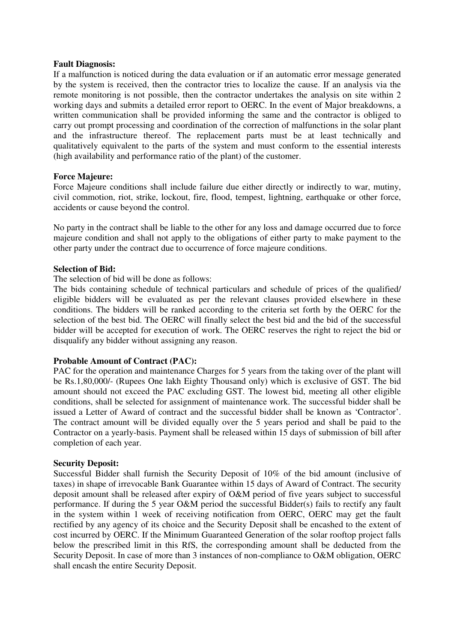### **Fault Diagnosis:**

If a malfunction is noticed during the data evaluation or if an automatic error message generated by the system is received, then the contractor tries to localize the cause. If an analysis via the remote monitoring is not possible, then the contractor undertakes the analysis on site within 2 working days and submits a detailed error report to OERC. In the event of Major breakdowns, a written communication shall be provided informing the same and the contractor is obliged to carry out prompt processing and coordination of the correction of malfunctions in the solar plant and the infrastructure thereof. The replacement parts must be at least technically and qualitatively equivalent to the parts of the system and must conform to the essential interests (high availability and performance ratio of the plant) of the customer.

### **Force Majeure:**

Force Majeure conditions shall include failure due either directly or indirectly to war, mutiny, civil commotion, riot, strike, lockout, fire, flood, tempest, lightning, earthquake or other force, accidents or cause beyond the control.

No party in the contract shall be liable to the other for any loss and damage occurred due to force majeure condition and shall not apply to the obligations of either party to make payment to the other party under the contract due to occurrence of force majeure conditions.

### **Selection of Bid:**

### The selection of bid will be done as follows:

The bids containing schedule of technical particulars and schedule of prices of the qualified/ eligible bidders will be evaluated as per the relevant clauses provided elsewhere in these conditions. The bidders will be ranked according to the criteria set forth by the OERC for the selection of the best bid. The OERC will finally select the best bid and the bid of the successful bidder will be accepted for execution of work. The OERC reserves the right to reject the bid or disqualify any bidder without assigning any reason.

## **Probable Amount of Contract (PAC):**

PAC for the operation and maintenance Charges for 5 years from the taking over of the plant will be Rs.1,80,000/- (Rupees One lakh Eighty Thousand only) which is exclusive of GST. The bid amount should not exceed the PAC excluding GST. The lowest bid, meeting all other eligible conditions, shall be selected for assignment of maintenance work. The successful bidder shall be issued a Letter of Award of contract and the successful bidder shall be known as 'Contractor'. The contract amount will be divided equally over the 5 years period and shall be paid to the Contractor on a yearly-basis. Payment shall be released within 15 days of submission of bill after completion of each year.

#### **Security Deposit:**

Successful Bidder shall furnish the Security Deposit of 10% of the bid amount (inclusive of taxes) in shape of irrevocable Bank Guarantee within 15 days of Award of Contract. The security deposit amount shall be released after expiry of O&M period of five years subject to successful performance. If during the 5 year O&M period the successful Bidder(s) fails to rectify any fault in the system within 1 week of receiving notification from OERC, OERC may get the fault rectified by any agency of its choice and the Security Deposit shall be encashed to the extent of cost incurred by OERC. If the Minimum Guaranteed Generation of the solar rooftop project falls below the prescribed limit in this RfS, the corresponding amount shall be deducted from the Security Deposit. In case of more than 3 instances of non-compliance to O&M obligation, OERC shall encash the entire Security Deposit.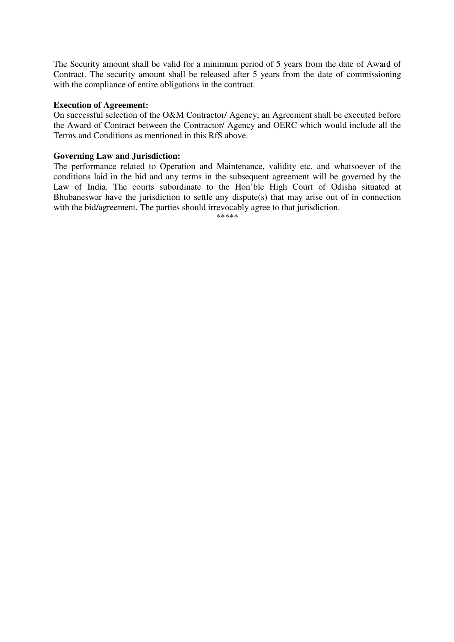The Security amount shall be valid for a minimum period of 5 years from the date of Award of Contract. The security amount shall be released after 5 years from the date of commissioning with the compliance of entire obligations in the contract.

### **Execution of Agreement:**

On successful selection of the O&M Contractor/ Agency, an Agreement shall be executed before the Award of Contract between the Contractor/ Agency and OERC which would include all the Terms and Conditions as mentioned in this RfS above.

### **Governing Law and Jurisdiction:**

The performance related to Operation and Maintenance, validity etc. and whatsoever of the conditions laid in the bid and any terms in the subsequent agreement will be governed by the Law of India. The courts subordinate to the Hon'ble High Court of Odisha situated at Bhubaneswar have the jurisdiction to settle any dispute(s) that may arise out of in connection with the bid/agreement. The parties should irrevocably agree to that jurisdiction.

\*\*\*\*\*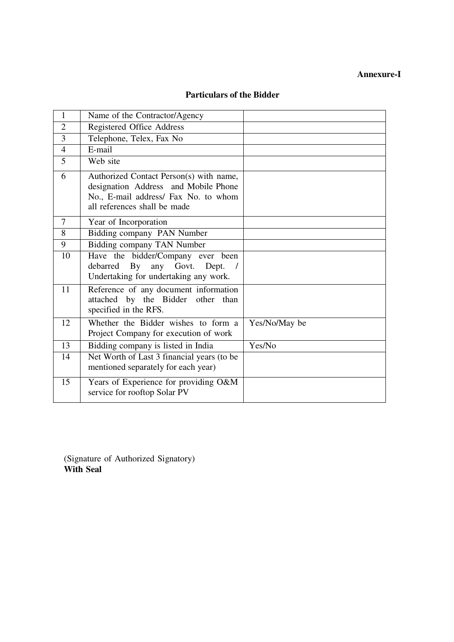# **Annexure-I**

| <b>Particulars of the Bidder</b> |  |  |
|----------------------------------|--|--|
|----------------------------------|--|--|

| $\mathbf{1}$   | Name of the Contractor/Agency                                                                                                                           |               |
|----------------|---------------------------------------------------------------------------------------------------------------------------------------------------------|---------------|
| $\overline{2}$ | Registered Office Address                                                                                                                               |               |
| 3              | Telephone, Telex, Fax No                                                                                                                                |               |
| $\overline{4}$ | E-mail                                                                                                                                                  |               |
| 5              | Web site                                                                                                                                                |               |
| 6              | Authorized Contact Person(s) with name,<br>designation Address and Mobile Phone<br>No., E-mail address/ Fax No. to whom<br>all references shall be made |               |
| $\overline{7}$ | Year of Incorporation                                                                                                                                   |               |
| 8              | Bidding company PAN Number                                                                                                                              |               |
| 9              | Bidding company TAN Number                                                                                                                              |               |
| 10             | Have the bidder/Company ever been<br>any Govt.<br>debarred By<br>Dept.<br>Undertaking for undertaking any work.                                         |               |
| 11             | Reference of any document information<br>attached by the Bidder other than<br>specified in the RFS.                                                     |               |
| 12             | Whether the Bidder wishes to form a<br>Project Company for execution of work                                                                            | Yes/No/May be |
| 13             | Bidding company is listed in India                                                                                                                      | Yes/No        |
| 14             | Net Worth of Last 3 financial years (to be<br>mentioned separately for each year)                                                                       |               |
| 15             | Years of Experience for providing O&M<br>service for rooftop Solar PV                                                                                   |               |

(Signature of Authorized Signatory) **With Seal**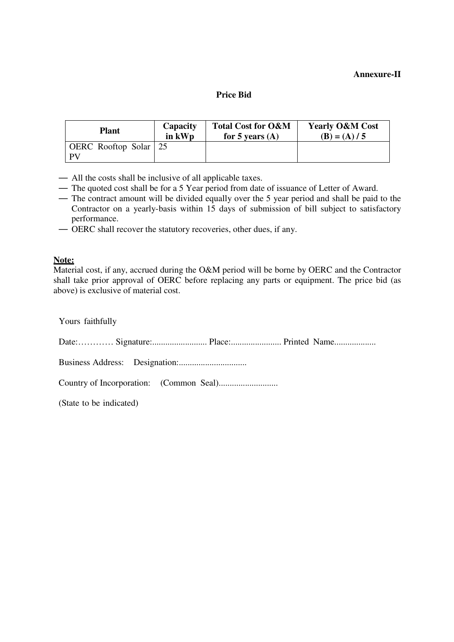## **Annexure-II**

### **Price Bid**

| <b>Plant</b>                | Capacity | <b>Total Cost for O&amp;M</b> | <b>Yearly O&amp;M Cost</b> |
|-----------------------------|----------|-------------------------------|----------------------------|
|                             | in kWp   | for 5 years $(A)$             | $(B) = (A)/5$              |
| OERC Rooftop Solar 25<br>PV |          |                               |                            |

— All the costs shall be inclusive of all applicable taxes.

- The quoted cost shall be for a 5 Year period from date of issuance of Letter of Award.
- The contract amount will be divided equally over the 5 year period and shall be paid to the Contractor on a yearly-basis within 15 days of submission of bill subject to satisfactory performance.
- OERC shall recover the statutory recoveries, other dues, if any.

## **Note:**

Material cost, if any, accrued during the O&M period will be borne by OERC and the Contractor shall take prior approval of OERC before replacing any parts or equipment. The price bid (as above) is exclusive of material cost.

| Yours faithfully        |
|-------------------------|
|                         |
|                         |
|                         |
| (State to be indicated) |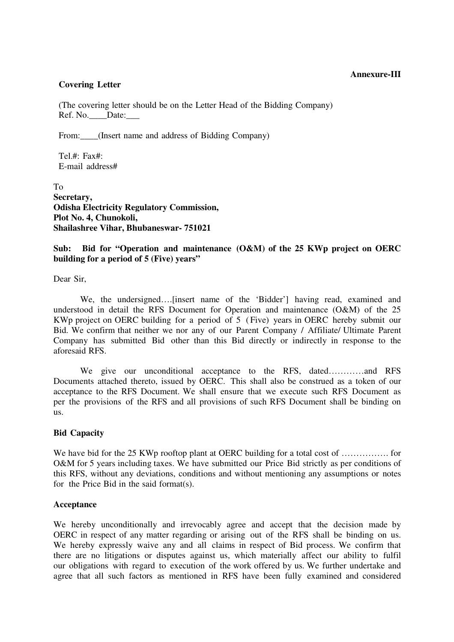### **Annexure-III**

## **Covering Letter**

(The covering letter should be on the Letter Head of the Bidding Company) Ref. No. Date:

From: (Insert name and address of Bidding Company)

Tel $#$ : Fax $#$ E-mail address#

To **Secretary, Odisha Electricity Regulatory Commission, Plot No. 4, Chunokoli, Shailashree Vihar, Bhubaneswar- 751021**

## **Sub: Bid for "Operation and maintenance (O&M) of the 25 KWp project on OERC building for a period of 5 (Five) years"**

Dear Sir,

We, the undersigned….[insert name of the 'Bidder'] having read, examined and understood in detail the RFS Document for Operation and maintenance (O&M) of the 25 KWp project on OERC building for a period of 5 ( Five) years in OERC hereby submit our Bid. We confirm that neither we nor any of our Parent Company / Affiliate/ Ultimate Parent Company has submitted Bid other than this Bid directly or indirectly in response to the aforesaid RFS.

We give our unconditional acceptance to the RFS, dated…………and RFS Documents attached thereto, issued by OERC. This shall also be construed as a token of our acceptance to the RFS Document. We shall ensure that we execute such RFS Document as per the provisions of the RFS and all provisions of such RFS Document shall be binding on us.

## **Bid Capacity**

We have bid for the 25 KWp rooftop plant at OERC building for a total cost of ……………. for O&M for 5 years including taxes. We have submitted our Price Bid strictly as per conditions of this RFS, without any deviations, conditions and without mentioning any assumptions or notes for the Price Bid in the said format(s).

## **Acceptance**

We hereby unconditionally and irrevocably agree and accept that the decision made by OERC in respect of any matter regarding or arising out of the RFS shall be binding on us. We hereby expressly waive any and all claims in respect of Bid process. We confirm that there are no litigations or disputes against us, which materially affect our ability to fulfil our obligations with regard to execution of the work offered by us. We further undertake and agree that all such factors as mentioned in RFS have been fully examined and considered